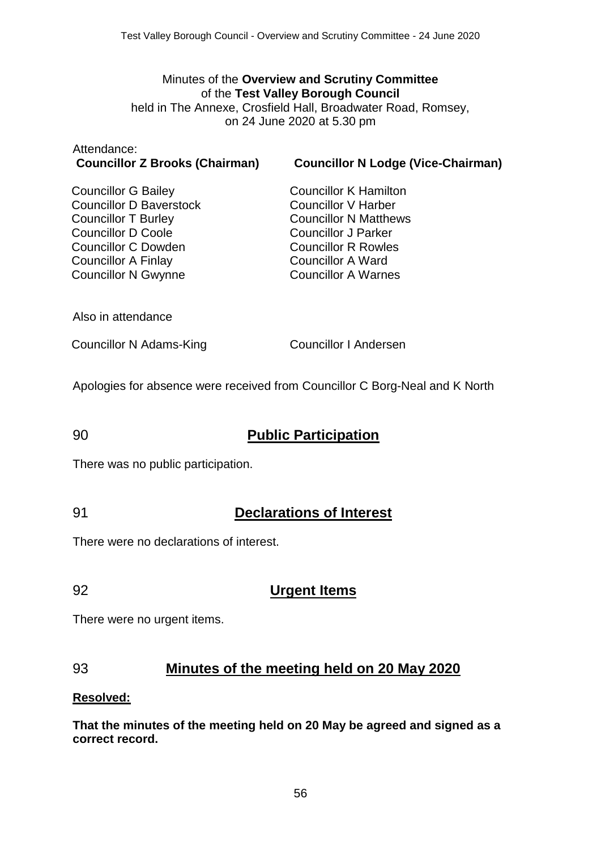#### Minutes of the **Overview and Scrutiny Committee** of the **Test Valley Borough Council** held in The Annexe, Crosfield Hall, Broadwater Road, Romsey, on 24 June 2020 at 5.30 pm

# Attendance:

**Councillor Z Brooks (Chairman) Councillor N Lodge (Vice-Chairman)**

Councillor G Bailey Councillor D Baverstock Councillor T Burley Councillor D Coole Councillor C Dowden Councillor A Finlay Councillor N Gwynne

Councillor K Hamilton Councillor V Harber Councillor N Matthews Councillor J Parker Councillor R Rowles Councillor A Ward Councillor A Warnes

Also in attendance

Councillor N Adams-King Councillor I Andersen

Apologies for absence were received from Councillor C Borg-Neal and K North

# 90 **Public Participation**

There was no public participation.

#### 91 **Declarations of Interest**

There were no declarations of interest.

#### 92 **Urgent Items**

There were no urgent items.

# 93 **Minutes of the meeting held on 20 May 2020**

#### **Resolved:**

**That the minutes of the meeting held on 20 May be agreed and signed as a correct record.**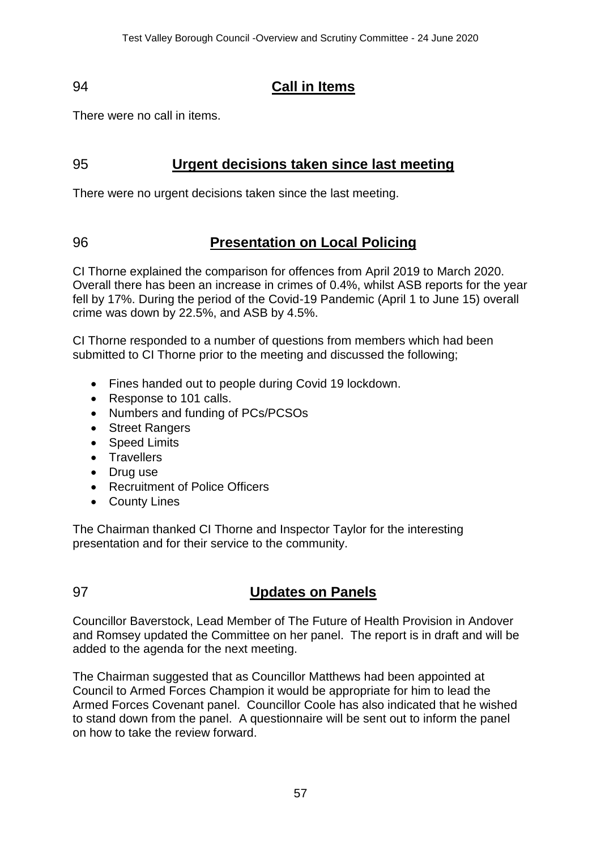# 94 **Call in Items**

There were no call in items.

# 95 **Urgent decisions taken since last meeting**

There were no urgent decisions taken since the last meeting.

# 96 **Presentation on Local Policing**

CI Thorne explained the comparison for offences from April 2019 to March 2020. Overall there has been an increase in crimes of 0.4%, whilst ASB reports for the year fell by 17%. During the period of the Covid-19 Pandemic (April 1 to June 15) overall crime was down by 22.5%, and ASB by 4.5%.

CI Thorne responded to a number of questions from members which had been submitted to CI Thorne prior to the meeting and discussed the following;

- Fines handed out to people during Covid 19 lockdown.
- Response to 101 calls.
- Numbers and funding of PCs/PCSOs
- Street Rangers
- Speed Limits
- Travellers
- Drug use
- Recruitment of Police Officers
- County Lines

The Chairman thanked CI Thorne and Inspector Taylor for the interesting presentation and for their service to the community.

# 97 **Updates on Panels**

Councillor Baverstock, Lead Member of The Future of Health Provision in Andover and Romsey updated the Committee on her panel. The report is in draft and will be added to the agenda for the next meeting.

The Chairman suggested that as Councillor Matthews had been appointed at Council to Armed Forces Champion it would be appropriate for him to lead the Armed Forces Covenant panel. Councillor Coole has also indicated that he wished to stand down from the panel. A questionnaire will be sent out to inform the panel on how to take the review forward.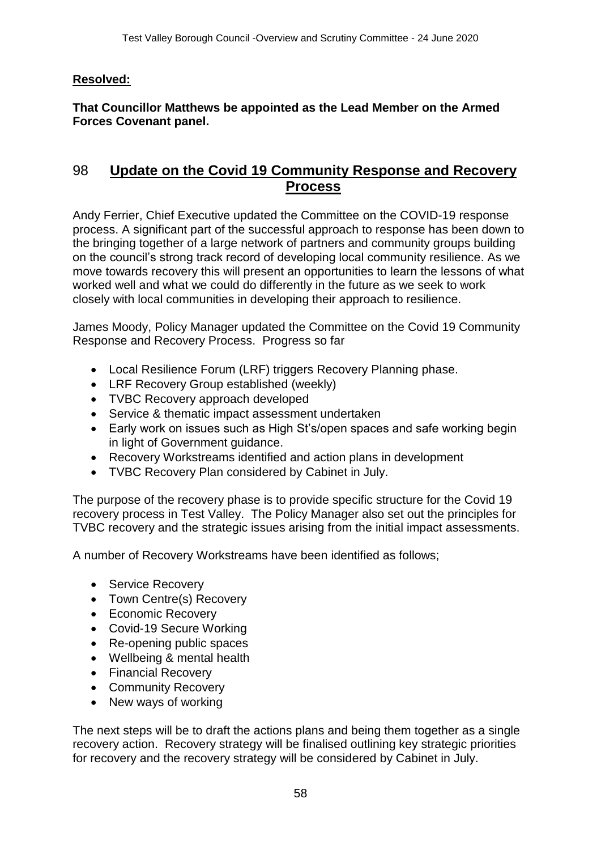### **Resolved:**

**That Councillor Matthews be appointed as the Lead Member on the Armed Forces Covenant panel.**

# 98 **Update on the Covid 19 Community Response and Recovery Process**

Andy Ferrier, Chief Executive updated the Committee on the COVID-19 response process. A significant part of the successful approach to response has been down to the bringing together of a large network of partners and community groups building on the council's strong track record of developing local community resilience. As we move towards recovery this will present an opportunities to learn the lessons of what worked well and what we could do differently in the future as we seek to work closely with local communities in developing their approach to resilience.

James Moody, Policy Manager updated the Committee on the Covid 19 Community Response and Recovery Process. Progress so far

- Local Resilience Forum (LRF) triggers Recovery Planning phase.
- LRF Recovery Group established (weekly)
- TVBC Recovery approach developed
- Service & thematic impact assessment undertaken
- Early work on issues such as High St's/open spaces and safe working begin in light of Government guidance.
- Recovery Workstreams identified and action plans in development
- TVBC Recovery Plan considered by Cabinet in July.

The purpose of the recovery phase is to provide specific structure for the Covid 19 recovery process in Test Valley. The Policy Manager also set out the principles for TVBC recovery and the strategic issues arising from the initial impact assessments.

A number of Recovery Workstreams have been identified as follows;

- Service Recovery
- Town Centre(s) Recovery
- Economic Recovery
- Covid-19 Secure Working
- Re-opening public spaces
- Wellbeing & mental health
- Financial Recovery
- Community Recovery
- New ways of working

The next steps will be to draft the actions plans and being them together as a single recovery action. Recovery strategy will be finalised outlining key strategic priorities for recovery and the recovery strategy will be considered by Cabinet in July.